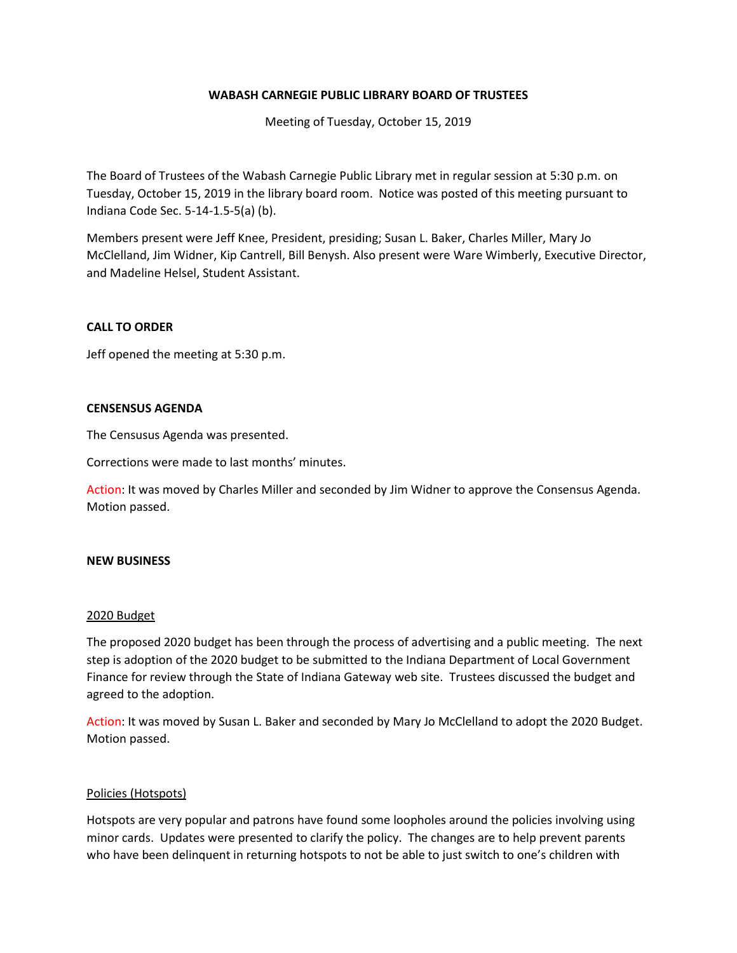## **WABASH CARNEGIE PUBLIC LIBRARY BOARD OF TRUSTEES**

Meeting of Tuesday, October 15, 2019

The Board of Trustees of the Wabash Carnegie Public Library met in regular session at 5:30 p.m. on Tuesday, October 15, 2019 in the library board room. Notice was posted of this meeting pursuant to Indiana Code Sec. 5-14-1.5-5(a) (b).

Members present were Jeff Knee, President, presiding; Susan L. Baker, Charles Miller, Mary Jo McClelland, Jim Widner, Kip Cantrell, Bill Benysh. Also present were Ware Wimberly, Executive Director, and Madeline Helsel, Student Assistant.

### **CALL TO ORDER**

Jeff opened the meeting at 5:30 p.m.

#### **CENSENSUS AGENDA**

The Censusus Agenda was presented.

Corrections were made to last months' minutes.

Action: It was moved by Charles Miller and seconded by Jim Widner to approve the Consensus Agenda. Motion passed.

#### **NEW BUSINESS**

#### 2020 Budget

The proposed 2020 budget has been through the process of advertising and a public meeting. The next step is adoption of the 2020 budget to be submitted to the Indiana Department of Local Government Finance for review through the State of Indiana Gateway web site. Trustees discussed the budget and agreed to the adoption.

Action: It was moved by Susan L. Baker and seconded by Mary Jo McClelland to adopt the 2020 Budget. Motion passed.

#### Policies (Hotspots)

Hotspots are very popular and patrons have found some loopholes around the policies involving using minor cards. Updates were presented to clarify the policy. The changes are to help prevent parents who have been delinquent in returning hotspots to not be able to just switch to one's children with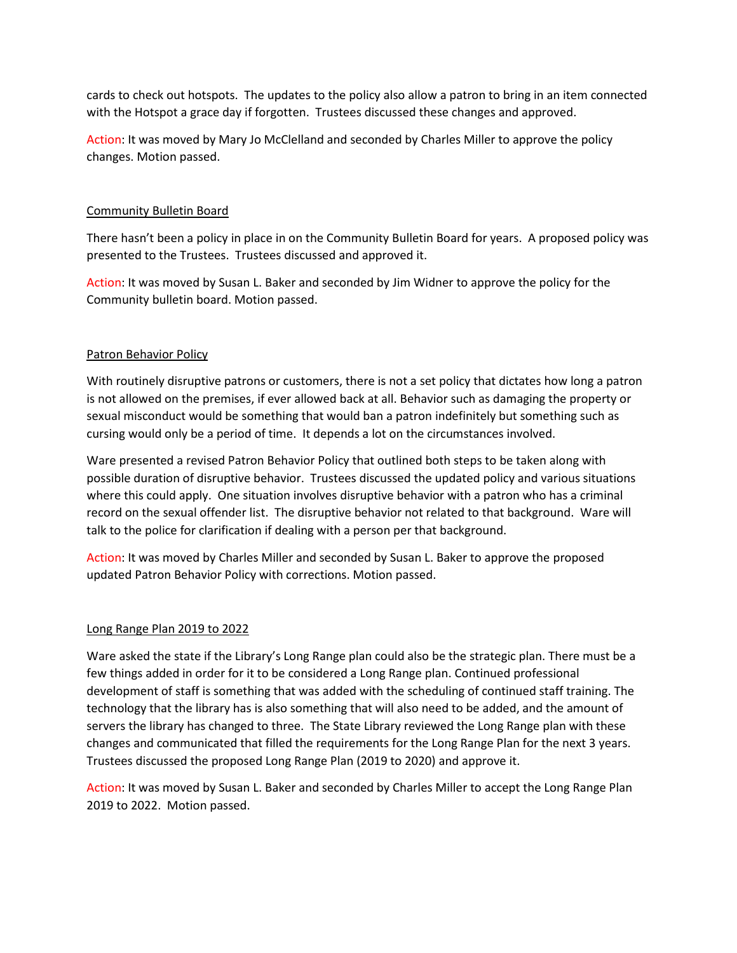cards to check out hotspots. The updates to the policy also allow a patron to bring in an item connected with the Hotspot a grace day if forgotten. Trustees discussed these changes and approved.

Action: It was moved by Mary Jo McClelland and seconded by Charles Miller to approve the policy changes. Motion passed.

## Community Bulletin Board

There hasn't been a policy in place in on the Community Bulletin Board for years. A proposed policy was presented to the Trustees. Trustees discussed and approved it.

Action: It was moved by Susan L. Baker and seconded by Jim Widner to approve the policy for the Community bulletin board. Motion passed.

# Patron Behavior Policy

With routinely disruptive patrons or customers, there is not a set policy that dictates how long a patron is not allowed on the premises, if ever allowed back at all. Behavior such as damaging the property or sexual misconduct would be something that would ban a patron indefinitely but something such as cursing would only be a period of time. It depends a lot on the circumstances involved.

Ware presented a revised Patron Behavior Policy that outlined both steps to be taken along with possible duration of disruptive behavior. Trustees discussed the updated policy and various situations where this could apply. One situation involves disruptive behavior with a patron who has a criminal record on the sexual offender list. The disruptive behavior not related to that background. Ware will talk to the police for clarification if dealing with a person per that background.

Action: It was moved by Charles Miller and seconded by Susan L. Baker to approve the proposed updated Patron Behavior Policy with corrections. Motion passed.

## Long Range Plan 2019 to 2022

Ware asked the state if the Library's Long Range plan could also be the strategic plan. There must be a few things added in order for it to be considered a Long Range plan. Continued professional development of staff is something that was added with the scheduling of continued staff training. The technology that the library has is also something that will also need to be added, and the amount of servers the library has changed to three. The State Library reviewed the Long Range plan with these changes and communicated that filled the requirements for the Long Range Plan for the next 3 years. Trustees discussed the proposed Long Range Plan (2019 to 2020) and approve it.

Action: It was moved by Susan L. Baker and seconded by Charles Miller to accept the Long Range Plan 2019 to 2022. Motion passed.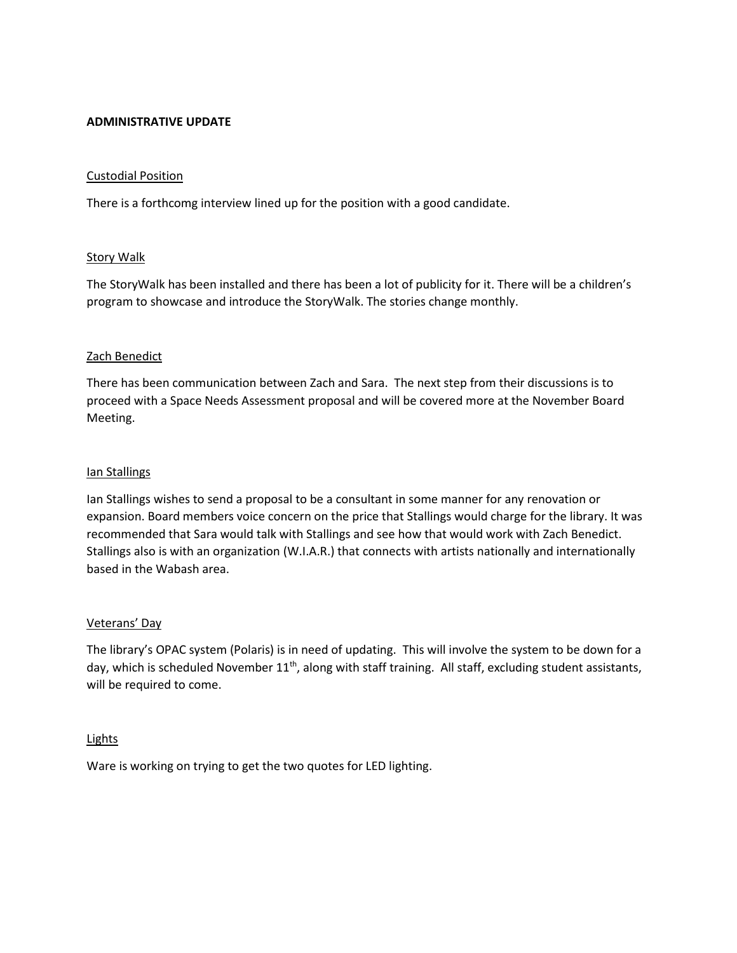### **ADMINISTRATIVE UPDATE**

#### Custodial Position

There is a forthcomg interview lined up for the position with a good candidate.

### **Story Walk**

The StoryWalk has been installed and there has been a lot of publicity for it. There will be a children's program to showcase and introduce the StoryWalk. The stories change monthly.

### Zach Benedict

There has been communication between Zach and Sara. The next step from their discussions is to proceed with a Space Needs Assessment proposal and will be covered more at the November Board Meeting.

### Ian Stallings

Ian Stallings wishes to send a proposal to be a consultant in some manner for any renovation or expansion. Board members voice concern on the price that Stallings would charge for the library. It was recommended that Sara would talk with Stallings and see how that would work with Zach Benedict. Stallings also is with an organization (W.I.A.R.) that connects with artists nationally and internationally based in the Wabash area.

#### Veterans' Day

The library's OPAC system (Polaris) is in need of updating. This will involve the system to be down for a day, which is scheduled November  $11<sup>th</sup>$ , along with staff training. All staff, excluding student assistants, will be required to come.

#### Lights

Ware is working on trying to get the two quotes for LED lighting.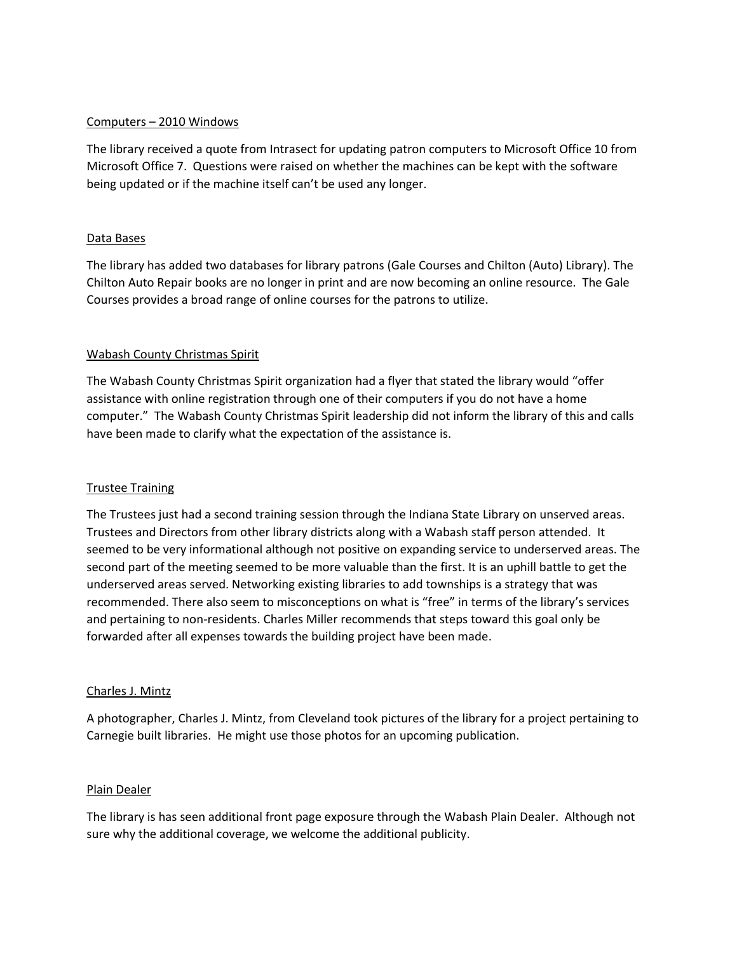## Computers – 2010 Windows

The library received a quote from Intrasect for updating patron computers to Microsoft Office 10 from Microsoft Office 7. Questions were raised on whether the machines can be kept with the software being updated or if the machine itself can't be used any longer.

## Data Bases

The library has added two databases for library patrons (Gale Courses and Chilton (Auto) Library). The Chilton Auto Repair books are no longer in print and are now becoming an online resource. The Gale Courses provides a broad range of online courses for the patrons to utilize.

## Wabash County Christmas Spirit

The Wabash County Christmas Spirit organization had a flyer that stated the library would "offer assistance with online registration through one of their computers if you do not have a home computer." The Wabash County Christmas Spirit leadership did not inform the library of this and calls have been made to clarify what the expectation of the assistance is.

## Trustee Training

The Trustees just had a second training session through the Indiana State Library on unserved areas. Trustees and Directors from other library districts along with a Wabash staff person attended. It seemed to be very informational although not positive on expanding service to underserved areas. The second part of the meeting seemed to be more valuable than the first. It is an uphill battle to get the underserved areas served. Networking existing libraries to add townships is a strategy that was recommended. There also seem to misconceptions on what is "free" in terms of the library's services and pertaining to non-residents. Charles Miller recommends that steps toward this goal only be forwarded after all expenses towards the building project have been made.

## Charles J. Mintz

A photographer, Charles J. Mintz, from Cleveland took pictures of the library for a project pertaining to Carnegie built libraries. He might use those photos for an upcoming publication.

## Plain Dealer

The library is has seen additional front page exposure through the Wabash Plain Dealer. Although not sure why the additional coverage, we welcome the additional publicity.